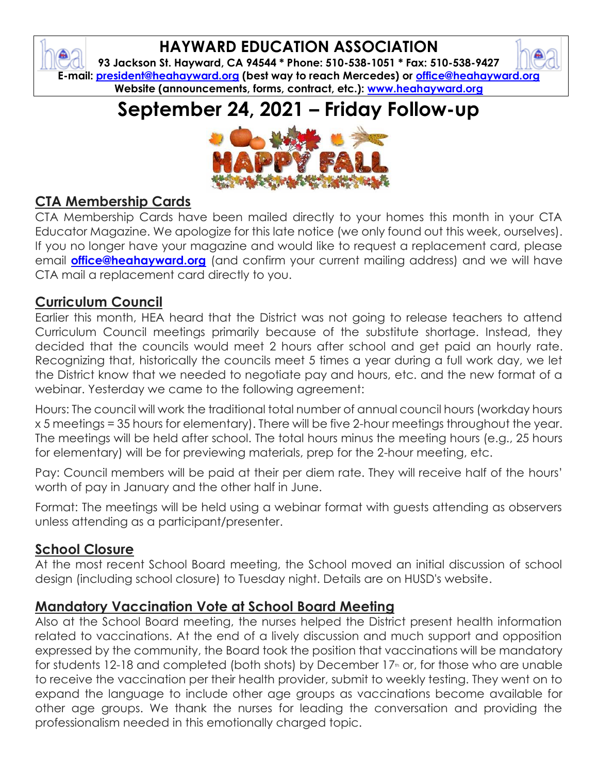# **HAYWARD EDUCATION ASSOCIATION**

**93 Jackson St. Hayward, CA 94544 \* Phone: 510-538-1051 \* Fax: 510-538-9427 E-mail: president@heahayward.org (best way to reach Mercedes) or office@heahayward.org Website (announcements, forms, contract, etc.): www.heahayward.org**

# **September 24, 2021 – Friday Follow-up**



# **CTA Membership Cards**

₿

CTA Membership Cards have been mailed directly to your homes this month in your CTA Educator Magazine. We apologize for this late notice (we only found out this week, ourselves). If you no longer have your magazine and would like to request a replacement card, please email **office@heahayward.org** (and confirm your current mailing address) and we will have CTA mail a replacement card directly to you.

### **Curriculum Council**

Earlier this month, HEA heard that the District was not going to release teachers to attend Curriculum Council meetings primarily because of the substitute shortage. Instead, they decided that the councils would meet 2 hours after school and get paid an hourly rate. Recognizing that, historically the councils meet 5 times a year during a full work day, we let the District know that we needed to negotiate pay and hours, etc. and the new format of a webinar. Yesterday we came to the following agreement:

Hours: The council will work the traditional total number of annual council hours (workday hours x 5 meetings = 35 hours for elementary). There will be five 2-hour meetings throughout the year. The meetings will be held after school. The total hours minus the meeting hours (e.g., 25 hours for elementary) will be for previewing materials, prep for the 2-hour meeting, etc.

Pay: Council members will be paid at their per diem rate. They will receive half of the hours' worth of pay in January and the other half in June.

Format: The meetings will be held using a webinar format with guests attending as observers unless attending as a participant/presenter.

### **School Closure**

At the most recent School Board meeting, the School moved an initial discussion of school design (including school closure) to Tuesday night. Details are on HUSD's website.

#### **Mandatory Vaccination Vote at School Board Meeting**

Also at the School Board meeting, the nurses helped the District present health information related to vaccinations. At the end of a lively discussion and much support and opposition expressed by the community, the Board took the position that vaccinations will be mandatory for students 12-18 and completed (both shots) by December 17<sup>th</sup> or, for those who are unable to receive the vaccination per their health provider, submit to weekly testing. They went on to expand the language to include other age groups as vaccinations become available for other age groups. We thank the nurses for leading the conversation and providing the professionalism needed in this emotionally charged topic.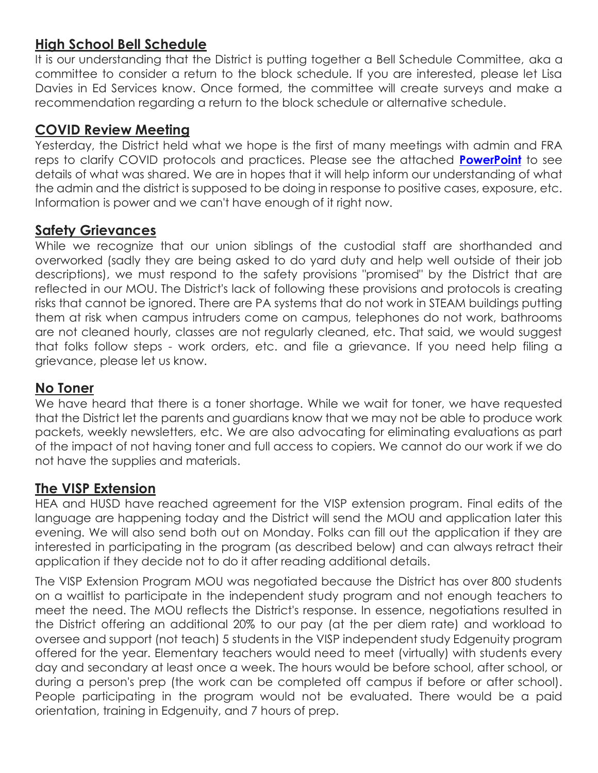### **High School Bell Schedule**

It is our understanding that the District is putting together a Bell Schedule Committee, aka a committee to consider a return to the block schedule. If you are interested, please let Lisa Davies in Ed Services know. Once formed, the committee will create surveys and make a recommendation regarding a return to the block schedule or alternative schedule.

#### **COVID Review Meeting**

Yesterday, the District held what we hope is the first of many meetings with admin and FRA reps to clarify COVID protocols and practices. Please see the attached **[PowerPoint](https://docs.google.com/presentation/d/1R2eHWnVj-MMDbsh4Z2EKXmo2cmdr0i14OWoumW8905A/edit#slide=id.gf241d741a8_1_95)** to see details of what was shared. We are in hopes that it will help inform our understanding of what the admin and the district is supposed to be doing in response to positive cases, exposure, etc. Information is power and we can't have enough of it right now.

#### **Safety Grievances**

While we recognize that our union siblings of the custodial staff are shorthanded and overworked (sadly they are being asked to do yard duty and help well outside of their job descriptions), we must respond to the safety provisions "promised" by the District that are reflected in our MOU. The District's lack of following these provisions and protocols is creating risks that cannot be ignored. There are PA systems that do not work in STEAM buildings putting them at risk when campus intruders come on campus, telephones do not work, bathrooms are not cleaned hourly, classes are not regularly cleaned, etc. That said, we would suggest that folks follow steps - work orders, etc. and file a grievance. If you need help filing a grievance, please let us know.

#### **No Toner**

We have heard that there is a toner shortage. While we wait for toner, we have requested that the District let the parents and guardians know that we may not be able to produce work packets, weekly newsletters, etc. We are also advocating for eliminating evaluations as part of the impact of not having toner and full access to copiers. We cannot do our work if we do not have the supplies and materials.

#### **The VISP Extension**

HEA and HUSD have reached agreement for the VISP extension program. Final edits of the language are happening today and the District will send the MOU and application later this evening. We will also send both out on Monday. Folks can fill out the application if they are interested in participating in the program (as described below) and can always retract their application if they decide not to do it after reading additional details.

The VISP Extension Program MOU was negotiated because the District has over 800 students on a waitlist to participate in the independent study program and not enough teachers to meet the need. The MOU reflects the District's response. In essence, negotiations resulted in the District offering an additional 20% to our pay (at the per diem rate) and workload to oversee and support (not teach) 5 students in the VISP independent study Edgenuity program offered for the year. Elementary teachers would need to meet (virtually) with students every day and secondary at least once a week. The hours would be before school, after school, or during a person's prep (the work can be completed off campus if before or after school). People participating in the program would not be evaluated. There would be a paid orientation, training in Edgenuity, and 7 hours of prep.